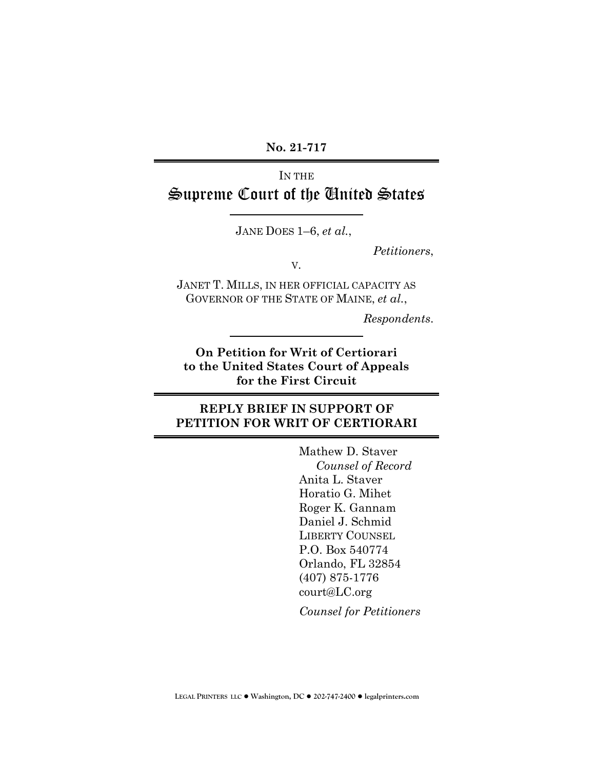**No. 21-717**

# IN THE Supreme Court of the United States

JANE DOES 1–6, *et al.*,

*Petitioners*,

V.

JANET T. MILLS, IN HER OFFICIAL CAPACITY AS GOVERNOR OF THE STATE OF MAINE, *et al.*,

*Respondents*.

**On Petition for Writ of Certiorari to the United States Court of Appeals for the First Circuit**

### **REPLY BRIEF IN SUPPORT OF PETITION FOR WRIT OF CERTIORARI**

Mathew D. Staver *Counsel of Record* Anita L. Staver Horatio G. Mihet Roger K. Gannam Daniel J. Schmid LIBERTY COUNSEL P.O. Box 540774 Orlando, FL 32854 (407) 875-1776 court@LC.org

*Counsel for Petitioners*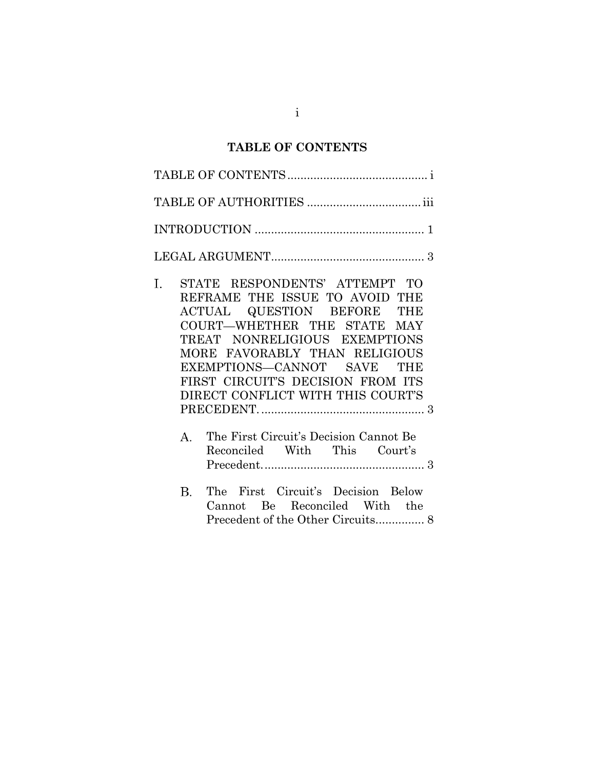## **TABLE OF CONTENTS**

<span id="page-1-0"></span>

| STATE RESPONDENTS' ATTEMPT TO<br>Ι.<br>REFRAME THE ISSUE TO AVOID THE<br>ACTUAL QUESTION BEFORE THE<br>COURT-WHETHER THE STATE MAY<br>TREAT NONRELIGIOUS EXEMPTIONS<br>MORE FAVORABLY THAN RELIGIOUS<br>EXEMPTIONS-CANNOT SAVE THE<br>FIRST CIRCUIT'S DECISION FROM ITS<br>DIRECT CONFLICT WITH THIS COURT'S |
|--------------------------------------------------------------------------------------------------------------------------------------------------------------------------------------------------------------------------------------------------------------------------------------------------------------|
| The First Circuit's Decision Cannot Be<br>$A_{-}$<br>Reconciled With This Court's                                                                                                                                                                                                                            |
| The First Circuit's Decision Below<br>$B_{\cdot}$<br>Cannot Be Reconciled With the                                                                                                                                                                                                                           |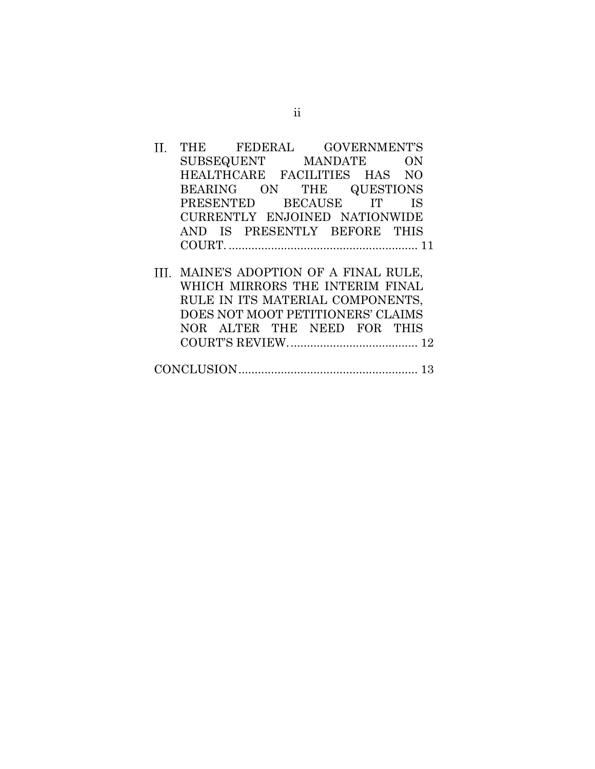| THE FEDERAL GOVERNMENT'S              |  |  |  |    |  |
|---------------------------------------|--|--|--|----|--|
| SUBSEQUENT MANDATE                    |  |  |  | ON |  |
| HEALTHCARE FACILITIES HAS NO          |  |  |  |    |  |
| BEARING ON THE QUESTIONS              |  |  |  |    |  |
| PRESENTED BECAUSE IT IS               |  |  |  |    |  |
| CURRENTLY ENJOINED NATIONWIDE         |  |  |  |    |  |
| AND IS PRESENTLY BEFORE THIS          |  |  |  |    |  |
|                                       |  |  |  |    |  |
| II. MAINE'S ADOPTION OF A FINAL RULE, |  |  |  |    |  |
| WHICH MIRRORS THE INTERIM FINAL       |  |  |  |    |  |
| RULE IN ITS MATERIAL COMPONENTS,      |  |  |  |    |  |
| DOES NOT MOOT PETITIONERS' CLAIMS     |  |  |  |    |  |
| NOR ALTER THE NEED FOR THIS           |  |  |  |    |  |

[CONCLUSION.......................................................](#page-17-0) 13

COURT'S REVIEW.[.......................................](#page-16-0) 12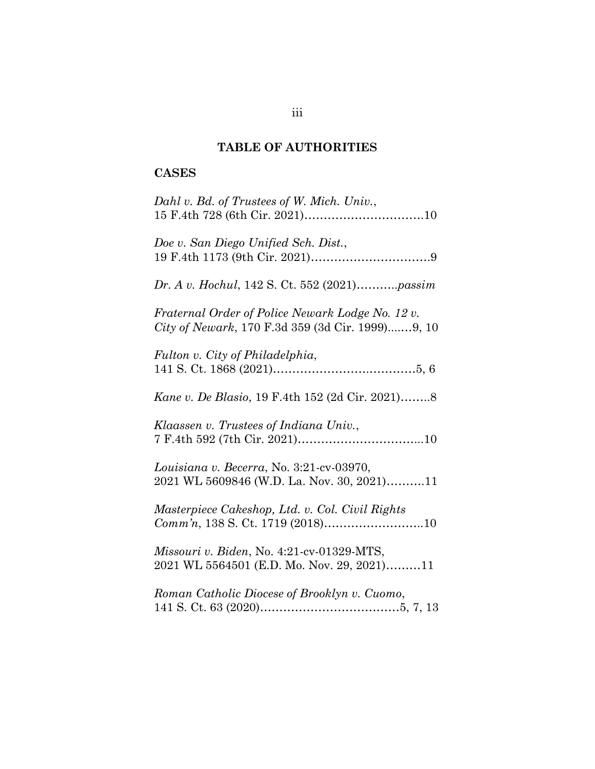### **TABLE OF AUTHORITIES**

## <span id="page-3-0"></span>**CASES**

| Dahl v. Bd. of Trustees of W. Mich. Univ.,                                                           |
|------------------------------------------------------------------------------------------------------|
| Doe v. San Diego Unified Sch. Dist.,                                                                 |
| Dr. A v. Hochul, 142 S. Ct. 552 (2021)passim                                                         |
| Fraternal Order of Police Newark Lodge No. 12 v.<br>City of Newark, 170 F.3d 359 (3d Cir. 1999)9, 10 |
| Fulton v. City of Philadelphia,                                                                      |
| Kane v. De Blasio, 19 F.4th 152 (2d Cir. 2021)8                                                      |
| Klaassen v. Trustees of Indiana Univ.,                                                               |
| Louisiana v. Becerra, No. 3:21-cv-03970,<br>2021 WL 5609846 (W.D. La. Nov. 30, 2021)11               |
| Masterpiece Cakeshop, Ltd. v. Col. Civil Rights                                                      |
| Missouri v. Biden, No. 4:21-cv-01329-MTS,<br>2021 WL 5564501 (E.D. Mo. Nov. 29, 2021)11              |
| Roman Catholic Diocese of Brooklyn v. Cuomo,                                                         |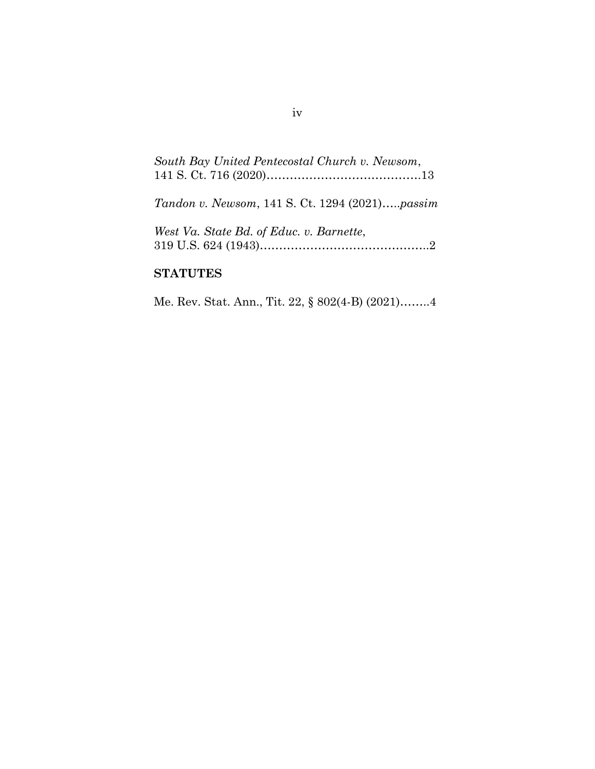| South Bay United Pentecostal Church v. Newsom, |  |
|------------------------------------------------|--|
|                                                |  |
|                                                |  |

*Tandon v. Newsom*, 141 S. Ct. 1294 (2021)…..*passim*

| West Va. State Bd. of Educ. v. Barnette, |  |
|------------------------------------------|--|
|                                          |  |

### **STATUTES**

Me. Rev. Stat. Ann., Tit. 22, § 802(4-B) (2021)……..4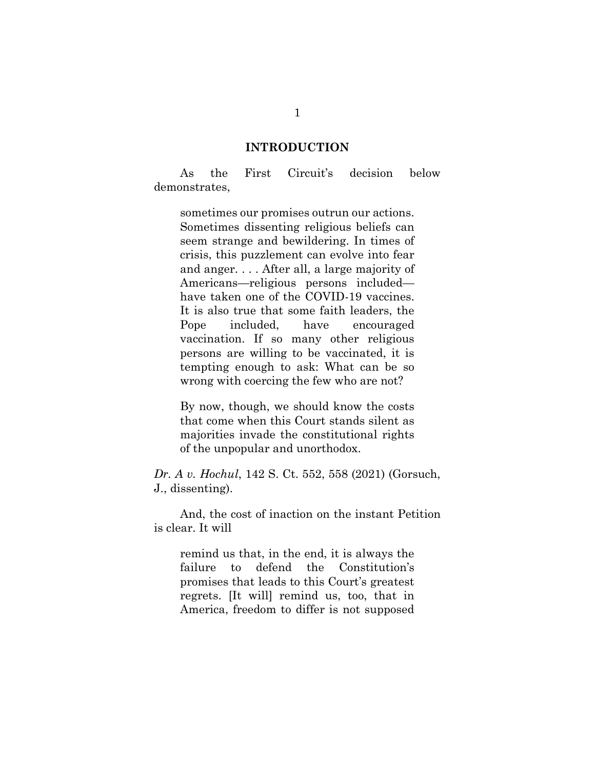#### **INTRODUCTION**

<span id="page-5-0"></span>As the First Circuit's decision below demonstrates,

sometimes our promises outrun our actions. Sometimes dissenting religious beliefs can seem strange and bewildering. In times of crisis, this puzzlement can evolve into fear and anger. . . . After all, a large majority of Americans—religious persons included have taken one of the COVID-19 vaccines. It is also true that some faith leaders, the Pope included, have encouraged vaccination. If so many other religious persons are willing to be vaccinated, it is tempting enough to ask: What can be so wrong with coercing the few who are not?

By now, though, we should know the costs that come when this Court stands silent as majorities invade the constitutional rights of the unpopular and unorthodox.

*Dr. A v. Hochul*, 142 S. Ct. 552, 558 (2021) (Gorsuch, J., dissenting).

And, the cost of inaction on the instant Petition is clear. It will

remind us that, in the end, it is always the failure to defend the Constitution's promises that leads to this Court's greatest regrets. [It will] remind us, too, that in America, freedom to differ is not supposed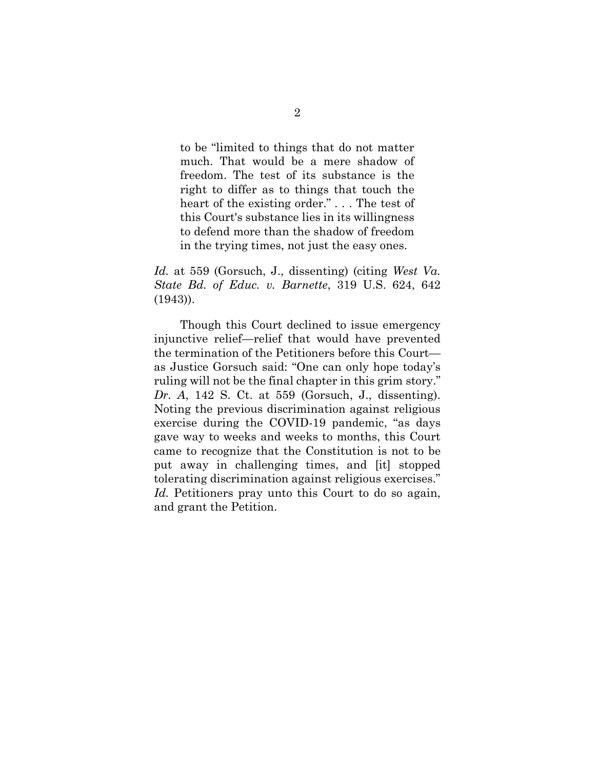to be "limited to things that do not matter much. That would be a mere shadow of freedom. The test of its substance is the right to differ as to things that touch the heart of the existing order." . . . The test of this Court's substance lies in its willingness to defend more than the shadow of freedom in the trying times, not just the easy ones.

*Id.* at 559 (Gorsuch, J., dissenting) (citing *West Va. State Bd. of Educ. v. Barnette*, 319 U.S. 624, 642 (1943)).

Though this Court declined to issue emergency injunctive relief—relief that would have prevented the termination of the Petitioners before this Court as Justice Gorsuch said: "One can only hope today's ruling will not be the final chapter in this grim story." *Dr. A*, 142 S. Ct. at 559 (Gorsuch, J., dissenting). Noting the previous discrimination against religious exercise during the COVID-19 pandemic, "as days gave way to weeks and weeks to months, this Court came to recognize that the Constitution is not to be put away in challenging times, and [it] stopped tolerating discrimination against religious exercises." Id. Petitioners pray unto this Court to do so again, and grant the Petition.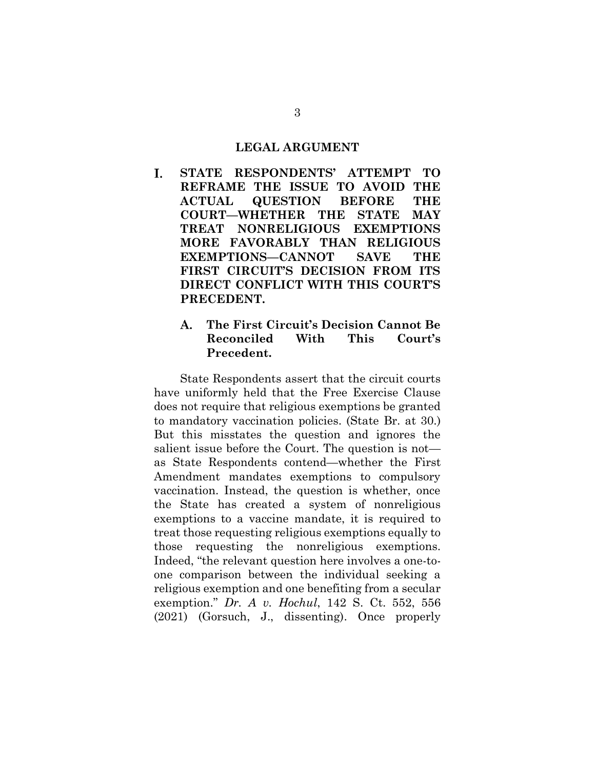#### **LEGAL ARGUMENT**

- <span id="page-7-1"></span><span id="page-7-0"></span> $\mathbf{L}$ **STATE RESPONDENTS' ATTEMPT TO REFRAME THE ISSUE TO AVOID THE ACTUAL QUESTION BEFORE THE COURT—WHETHER THE STATE MAY TREAT NONRELIGIOUS EXEMPTIONS MORE FAVORABLY THAN RELIGIOUS EXEMPTIONS—CANNOT SAVE THE FIRST CIRCUIT'S DECISION FROM ITS DIRECT CONFLICT WITH THIS COURT'S PRECEDENT.**
	- $\mathbf{A}$ . **The First Circuit's Decision Cannot Be Reconciled With This Court's Precedent.**

<span id="page-7-2"></span>State Respondents assert that the circuit courts have uniformly held that the Free Exercise Clause does not require that religious exemptions be granted to mandatory vaccination policies. (State Br. at 30.) But this misstates the question and ignores the salient issue before the Court. The question is not as State Respondents contend—whether the First Amendment mandates exemptions to compulsory vaccination. Instead, the question is whether, once the State has created a system of nonreligious exemptions to a vaccine mandate, it is required to treat those requesting religious exemptions equally to those requesting the nonreligious exemptions. Indeed, "the relevant question here involves a one-toone comparison between the individual seeking a religious exemption and one benefiting from a secular exemption." *Dr. A v. Hochul*, 142 S. Ct. 552, 556 (2021) (Gorsuch, J., dissenting). Once properly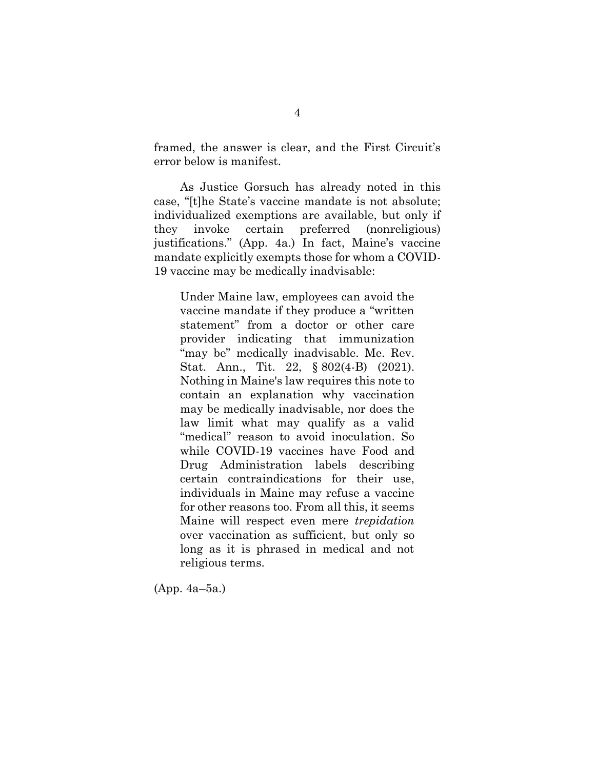framed, the answer is clear, and the First Circuit's error below is manifest.

As Justice Gorsuch has already noted in this case, "[t]he State's vaccine mandate is not absolute; individualized exemptions are available, but only if they invoke certain preferred (nonreligious) justifications." (App. 4a.) In fact, Maine's vaccine mandate explicitly exempts those for whom a COVID-19 vaccine may be medically inadvisable:

Under Maine law, employees can avoid the vaccine mandate if they produce a "written statement" from a doctor or other care provider indicating that immunization "may be" medically inadvisable. Me. Rev. Stat. Ann., Tit. 22, § 802(4-B) (2021). Nothing in Maine's law requires this note to contain an explanation why vaccination may be medically inadvisable, nor does the law limit what may qualify as a valid "medical" reason to avoid inoculation. So while COVID-19 vaccines have Food and Drug Administration labels describing certain contraindications for their use, individuals in Maine may refuse a vaccine for other reasons too. From all this, it seems Maine will respect even mere *trepidation* over vaccination as sufficient, but only so long as it is phrased in medical and not religious terms.

(App. 4a–5a.)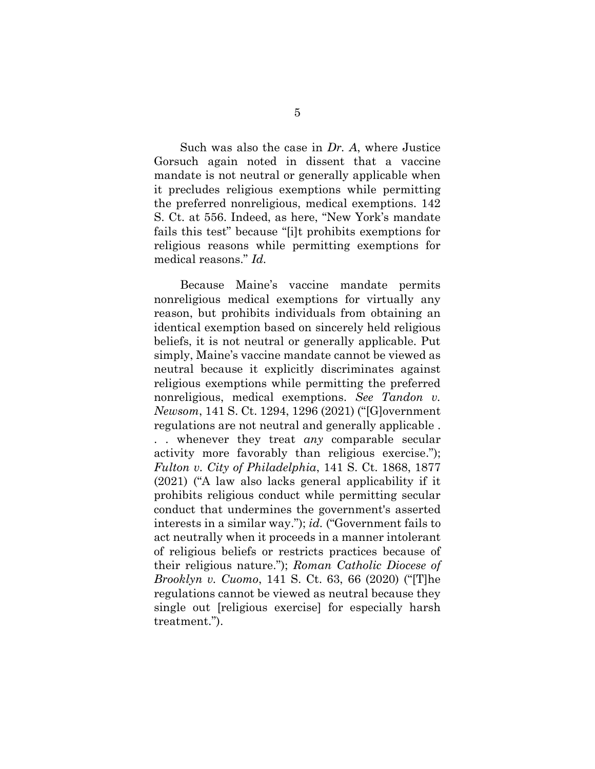Such was also the case in *Dr. A*, where Justice Gorsuch again noted in dissent that a vaccine mandate is not neutral or generally applicable when it precludes religious exemptions while permitting the preferred nonreligious, medical exemptions. 142 S. Ct. at 556. Indeed, as here, "New York's mandate fails this test" because "[i]t prohibits exemptions for religious reasons while permitting exemptions for medical reasons." *Id.* 

Because Maine's vaccine mandate permits nonreligious medical exemptions for virtually any reason, but prohibits individuals from obtaining an identical exemption based on sincerely held religious beliefs, it is not neutral or generally applicable. Put simply, Maine's vaccine mandate cannot be viewed as neutral because it explicitly discriminates against religious exemptions while permitting the preferred nonreligious, medical exemptions. *See Tandon v. Newsom*, 141 S. Ct. 1294, 1296 (2021) ("[G]overnment regulations are not neutral and generally applicable . . . whenever they treat *any* comparable secular activity more favorably than religious exercise."); *Fulton v. City of Philadelphia*, 141 S. Ct. 1868, 1877 (2021) ("A law also lacks general applicability if it prohibits religious conduct while permitting secular conduct that undermines the government's asserted interests in a similar way."); *id.* ("Government fails to act neutrally when it proceeds in a manner intolerant of religious beliefs or restricts practices because of their religious nature."); *Roman Catholic Diocese of Brooklyn v. Cuomo*, 141 S. Ct. 63, 66 (2020) ("[T]he regulations cannot be viewed as neutral because they single out [religious exercise] for especially harsh treatment.").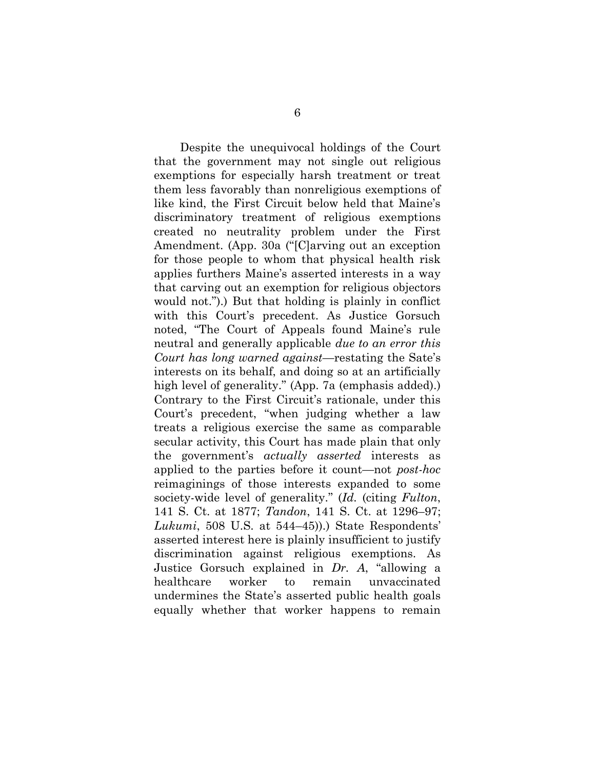Despite the unequivocal holdings of the Court that the government may not single out religious exemptions for especially harsh treatment or treat them less favorably than nonreligious exemptions of like kind, the First Circuit below held that Maine's discriminatory treatment of religious exemptions created no neutrality problem under the First Amendment. (App. 30a ("[C]arving out an exception for those people to whom that physical health risk applies furthers Maine's asserted interests in a way that carving out an exemption for religious objectors would not.").) But that holding is plainly in conflict with this Court's precedent. As Justice Gorsuch noted, "The Court of Appeals found Maine's rule neutral and generally applicable *due to an error this Court has long warned against*—restating the Sate's interests on its behalf, and doing so at an artificially high level of generality." (App. 7a (emphasis added).) Contrary to the First Circuit's rationale, under this Court's precedent, "when judging whether a law treats a religious exercise the same as comparable secular activity, this Court has made plain that only the government's *actually asserted* interests as applied to the parties before it count—not *post-hoc*  reimaginings of those interests expanded to some society-wide level of generality." (*Id.* (citing *Fulton*, 141 S. Ct. at 1877; *Tandon*, 141 S. Ct. at 1296–97; *Lukumi*, 508 U.S. at 544–45)).) State Respondents' asserted interest here is plainly insufficient to justify discrimination against religious exemptions. As Justice Gorsuch explained in *Dr. A*, "allowing a healthcare worker to remain unvaccinated undermines the State's asserted public health goals equally whether that worker happens to remain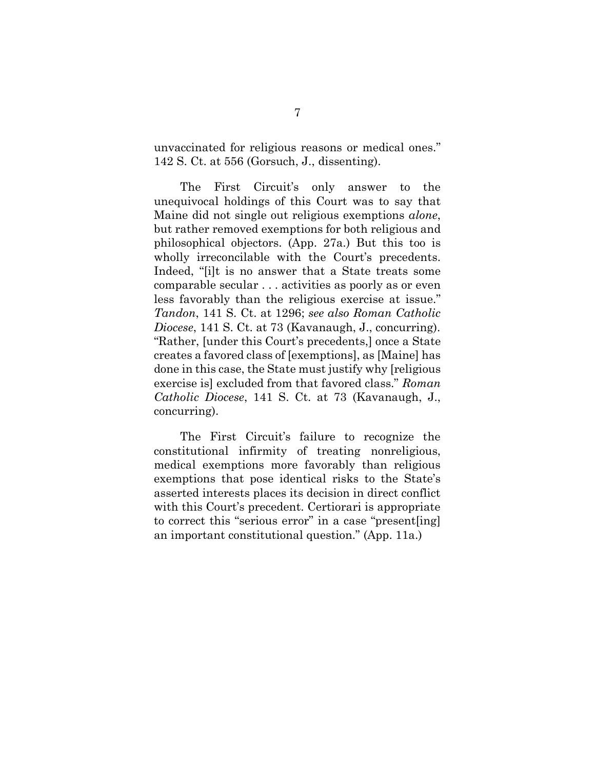unvaccinated for religious reasons or medical ones." 142 S. Ct. at 556 (Gorsuch, J., dissenting).

The First Circuit's only answer to the unequivocal holdings of this Court was to say that Maine did not single out religious exemptions *alone*, but rather removed exemptions for both religious and philosophical objectors. (App. 27a.) But this too is wholly irreconcilable with the Court's precedents. Indeed, "[i]t is no answer that a State treats some comparable secular . . . activities as poorly as or even less favorably than the religious exercise at issue." *Tandon*, 141 S. Ct. at 1296; *see also Roman Catholic Diocese*, 141 S. Ct. at 73 (Kavanaugh, J., concurring). "Rather, [under this Court's precedents,] once a State creates a favored class of [exemptions], as [Maine] has done in this case, the State must justify why [religious exercise is] excluded from that favored class." *Roman Catholic Diocese*, 141 S. Ct. at 73 (Kavanaugh, J., concurring).

The First Circuit's failure to recognize the constitutional infirmity of treating nonreligious, medical exemptions more favorably than religious exemptions that pose identical risks to the State's asserted interests places its decision in direct conflict with this Court's precedent. Certiorari is appropriate to correct this "serious error" in a case "present[ing] an important constitutional question." (App. 11a.)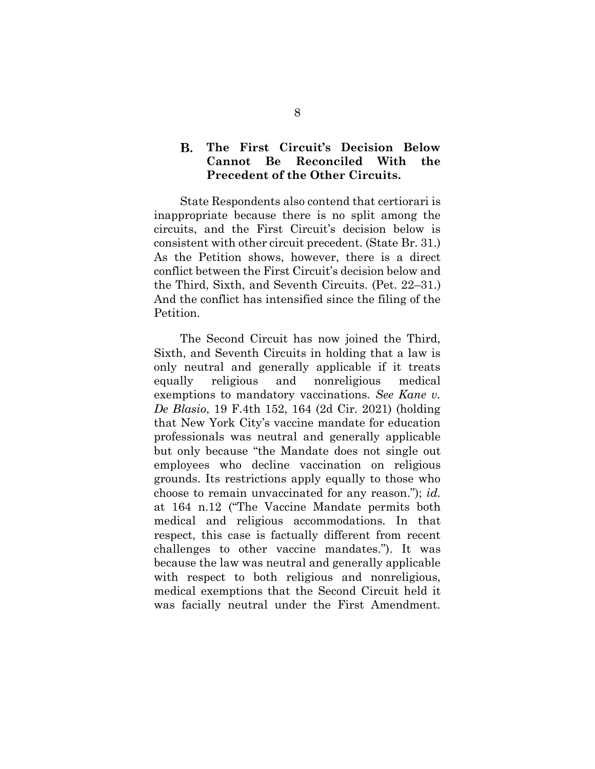#### <span id="page-12-0"></span>**B. The First Circuit's Decision Below Cannot Be Reconciled With the Precedent of the Other Circuits.**

State Respondents also contend that certiorari is inappropriate because there is no split among the circuits, and the First Circuit's decision below is consistent with other circuit precedent. (State Br. 31.) As the Petition shows, however, there is a direct conflict between the First Circuit's decision below and the Third, Sixth, and Seventh Circuits. (Pet. 22–31.) And the conflict has intensified since the filing of the Petition.

The Second Circuit has now joined the Third, Sixth, and Seventh Circuits in holding that a law is only neutral and generally applicable if it treats equally religious and nonreligious medical exemptions to mandatory vaccinations. *See Kane v. De Blasio*, 19 F.4th 152, 164 (2d Cir. 2021) (holding that New York City's vaccine mandate for education professionals was neutral and generally applicable but only because "the Mandate does not single out employees who decline vaccination on religious grounds. Its restrictions apply equally to those who choose to remain unvaccinated for any reason."); *id.*  at 164 n.12 ("The Vaccine Mandate permits both medical and religious accommodations. In that respect, this case is factually different from recent challenges to other vaccine mandates."). It was because the law was neutral and generally applicable with respect to both religious and nonreligious, medical exemptions that the Second Circuit held it was facially neutral under the First Amendment.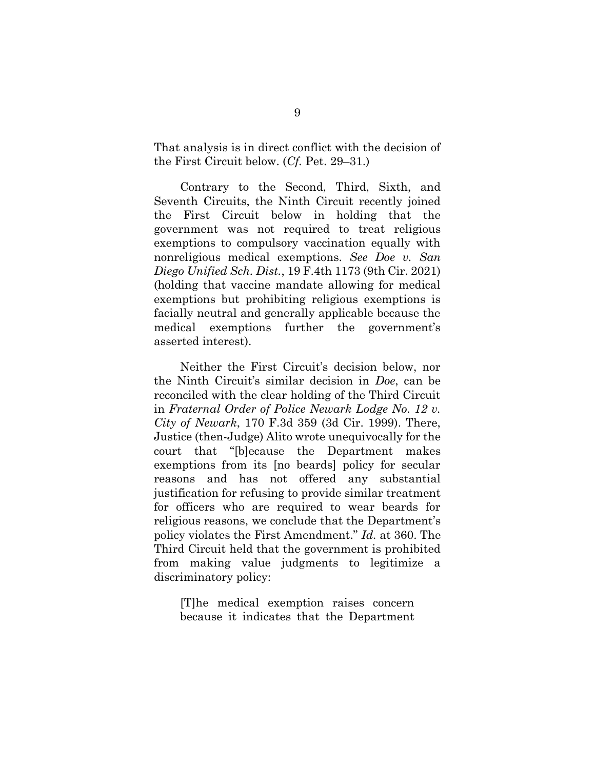That analysis is in direct conflict with the decision of the First Circuit below. (*Cf.* Pet. 29–31.)

Contrary to the Second, Third, Sixth, and Seventh Circuits, the Ninth Circuit recently joined the First Circuit below in holding that the government was not required to treat religious exemptions to compulsory vaccination equally with nonreligious medical exemptions. *See Doe v. San Diego Unified Sch. Dist.*, 19 F.4th 1173 (9th Cir. 2021) (holding that vaccine mandate allowing for medical exemptions but prohibiting religious exemptions is facially neutral and generally applicable because the medical exemptions further the government's asserted interest).

Neither the First Circuit's decision below, nor the Ninth Circuit's similar decision in *Doe*, can be reconciled with the clear holding of the Third Circuit in *Fraternal Order of Police Newark Lodge No. 12 v. City of Newark*, 170 F.3d 359 (3d Cir. 1999). There, Justice (then-Judge) Alito wrote unequivocally for the court that "[b]ecause the Department makes exemptions from its [no beards] policy for secular reasons and has not offered any substantial justification for refusing to provide similar treatment for officers who are required to wear beards for religious reasons, we conclude that the Department's policy violates the First Amendment." *Id.* at 360. The Third Circuit held that the government is prohibited from making value judgments to legitimize a discriminatory policy:

[T]he medical exemption raises concern because it indicates that the Department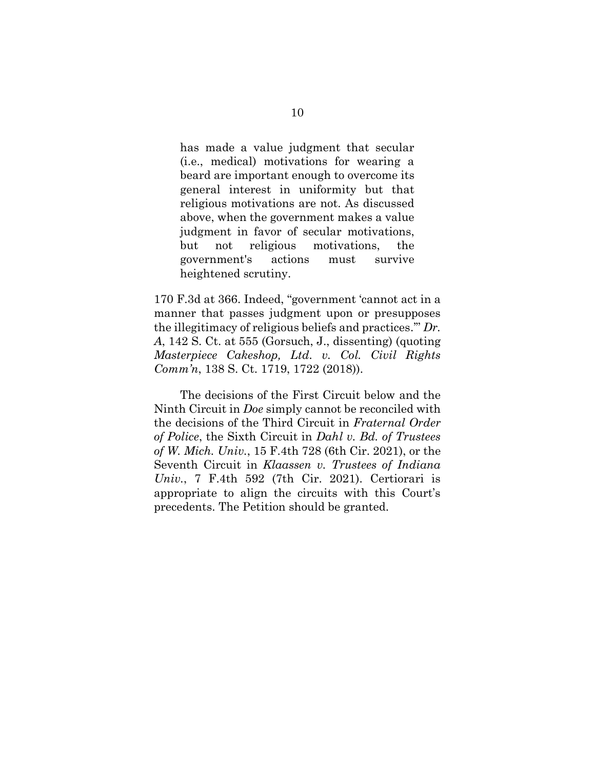has made a value judgment that secular (i.e., medical) motivations for wearing a beard are important enough to overcome its general interest in uniformity but that religious motivations are not. As discussed above, when the government makes a value judgment in favor of secular motivations, but not religious motivations, the government's actions must survive heightened scrutiny.

170 F.3d at 366. Indeed, "government 'cannot act in a manner that passes judgment upon or presupposes the illegitimacy of religious beliefs and practices.'" *Dr. A*, 142 S. Ct. at 555 (Gorsuch, J., dissenting) (quoting *Masterpiece Cakeshop, Ltd. v. Col. Civil Rights Comm'n*, 138 S. Ct. 1719, 1722 (2018)).

The decisions of the First Circuit below and the Ninth Circuit in *Doe* simply cannot be reconciled with the decisions of the Third Circuit in *Fraternal Order of Police*, the Sixth Circuit in *Dahl v. Bd. of Trustees of W. Mich. Univ.*, 15 F.4th 728 (6th Cir. 2021), or the Seventh Circuit in *Klaassen v. Trustees of Indiana Univ.*, 7 F.4th 592 (7th Cir. 2021). Certiorari is appropriate to align the circuits with this Court's precedents. The Petition should be granted.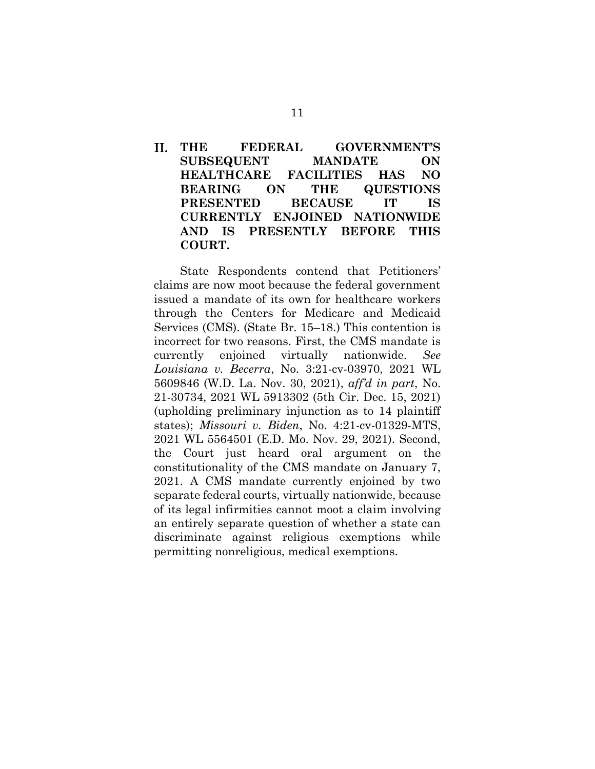### <span id="page-15-0"></span>II. **THE FEDERAL GOVERNMENT'S SUBSEQUENT MANDATE ON HEALTHCARE FACILITIES HAS NO BEARING ON THE QUESTIONS PRESENTED BECAUSE IT IS CURRENTLY ENJOINED NATIONWIDE AND IS PRESENTLY BEFORE THIS COURT.**

State Respondents contend that Petitioners' claims are now moot because the federal government issued a mandate of its own for healthcare workers through the Centers for Medicare and Medicaid Services (CMS). (State Br. 15–18.) This contention is incorrect for two reasons. First, the CMS mandate is currently enjoined virtually nationwide. *See Louisiana v. Becerra*, No. 3:21-cv-03970, 2021 WL 5609846 (W.D. La. Nov. 30, 2021), *aff'd in part*, No. 21-30734, 2021 WL 5913302 (5th Cir. Dec. 15, 2021) (upholding preliminary injunction as to 14 plaintiff states); *Missouri v. Biden*, No. 4:21-cv-01329-MTS, 2021 WL 5564501 (E.D. Mo. Nov. 29, 2021). Second, the Court just heard oral argument on the constitutionality of the CMS mandate on January 7, 2021. A CMS mandate currently enjoined by two separate federal courts, virtually nationwide, because of its legal infirmities cannot moot a claim involving an entirely separate question of whether a state can discriminate against religious exemptions while permitting nonreligious, medical exemptions.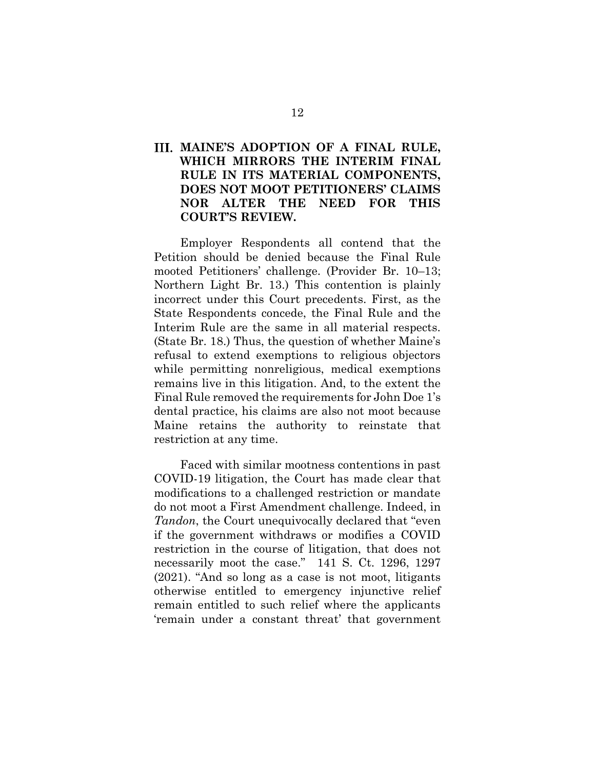### <span id="page-16-0"></span>**MAINE'S ADOPTION OF A FINAL RULE, WHICH MIRRORS THE INTERIM FINAL RULE IN ITS MATERIAL COMPONENTS, DOES NOT MOOT PETITIONERS' CLAIMS NOR ALTER THE NEED FOR THIS COURT'S REVIEW.**

Employer Respondents all contend that the Petition should be denied because the Final Rule mooted Petitioners' challenge. (Provider Br. 10–13; Northern Light Br. 13.) This contention is plainly incorrect under this Court precedents. First, as the State Respondents concede, the Final Rule and the Interim Rule are the same in all material respects. (State Br. 18.) Thus, the question of whether Maine's refusal to extend exemptions to religious objectors while permitting nonreligious, medical exemptions remains live in this litigation. And, to the extent the Final Rule removed the requirements for John Doe 1's dental practice, his claims are also not moot because Maine retains the authority to reinstate that restriction at any time.

Faced with similar mootness contentions in past COVID-19 litigation, the Court has made clear that modifications to a challenged restriction or mandate do not moot a First Amendment challenge. Indeed, in *Tandon*, the Court unequivocally declared that "even if the government withdraws or modifies a COVID restriction in the course of litigation, that does not necessarily moot the case."141 S. Ct. 1296, 1297 (2021). "And so long as a case is not moot, litigants otherwise entitled to emergency injunctive relief remain entitled to such relief where the applicants 'remain under a constant threat' that government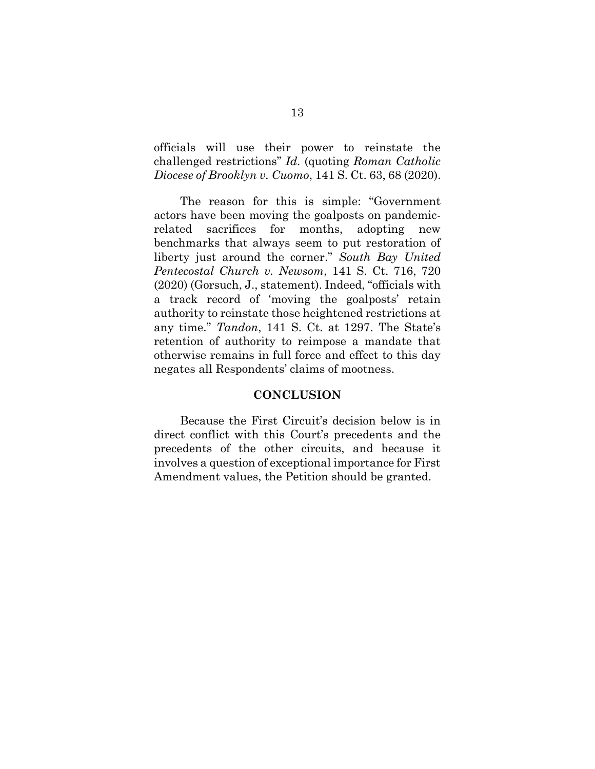officials will use their power to reinstate the challenged restrictions" *Id.* (quoting *Roman Catholic Diocese of Brooklyn v. Cuomo*, 141 S. Ct. 63, 68 (2020).

The reason for this is simple: "Government actors have been moving the goalposts on pandemicrelated sacrifices for months, adopting new benchmarks that always seem to put restoration of liberty just around the corner." *South Bay United Pentecostal Church v. Newsom*, 141 S. Ct. 716, 720 (2020) (Gorsuch, J., statement). Indeed, "officials with a track record of 'moving the goalposts' retain authority to reinstate those heightened restrictions at any time." *Tandon*, 141 S. Ct. at 1297. The State's retention of authority to reimpose a mandate that otherwise remains in full force and effect to this day negates all Respondents' claims of mootness.

### **CONCLUSION**

<span id="page-17-0"></span>Because the First Circuit's decision below is in direct conflict with this Court's precedents and the precedents of the other circuits, and because it involves a question of exceptional importance for First Amendment values, the Petition should be granted.